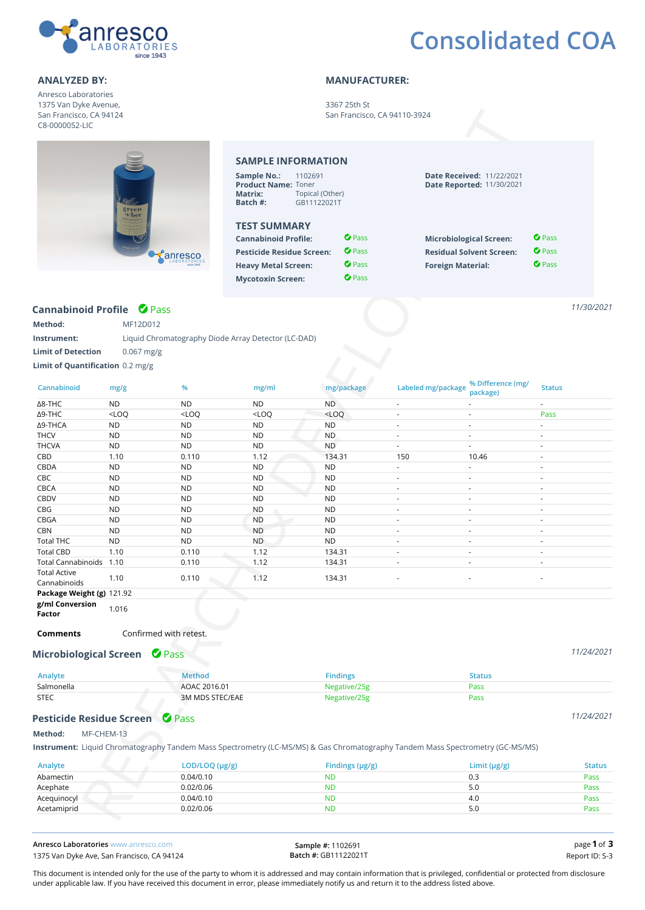

## **Consolidated COA**

Anresco Laboratories 1375 Van Dyke Avenue, San Francisco, CA 94124 C8-0000052-LIC

### ANALYZED BY: MANUFACTURER:

3367 25th St San Francisco, CA 94110-3924

| <b>Sample No.:</b><br><b>Product Name: Toner</b>   | 1102691              | <b>Date Received: 11/22/2021</b><br><b>Date Reported: 11/30/2021</b> |                      |
|----------------------------------------------------|----------------------|----------------------------------------------------------------------|----------------------|
| Matrix:                                            | Topical (Other)      |                                                                      |                      |
| Batch #:                                           | GB11122021T          |                                                                      |                      |
|                                                    |                      |                                                                      |                      |
|                                                    |                      |                                                                      |                      |
| <b>TEST SUMMARY</b><br><b>Cannabinoid Profile:</b> | <b><i>O Pass</i></b> | <b>Microbiological Screen:</b>                                       | <b><i>O Pass</i></b> |
| <b>Pesticide Residue Screen:</b>                   | <b>C</b> Pass        | <b>Residual Solvent Screen:</b>                                      | <b><i>O Pass</i></b> |
| <b>Heavy Metal Screen:</b>                         | <b><i>O Pass</i></b> | <b>Foreign Material:</b>                                             | $\bullet$ Pass       |

### Cannabinoid Profile <sup>O</sup> Pass

| Method:                                 | MF12D012                                            |
|-----------------------------------------|-----------------------------------------------------|
| Instrument:                             | Liquid Chromatography Diode Array Detector (LC-DAD) |
| <b>Limit of Detection</b>               | $0.067$ mg/g                                        |
| <b>Limit of Quantification</b> 0.2 mg/g |                                                     |

| San Francisco, CA 94124<br>C8-0000052-LIC |                                                 |                             | San Francisco, CA 94110-3924                                                                                                           |                                                                                              |                                                         |                                                                                                                                |                                                          |               |
|-------------------------------------------|-------------------------------------------------|-----------------------------|----------------------------------------------------------------------------------------------------------------------------------------|----------------------------------------------------------------------------------------------|---------------------------------------------------------|--------------------------------------------------------------------------------------------------------------------------------|----------------------------------------------------------|---------------|
|                                           | green<br>*bee<br><b><i><u>PTANICALL</u></i></b> |                             | <b>SAMPLE INFORMATION</b><br>1102691<br><b>Sample No.:</b><br><b>Product Name: Toner</b><br>Matrix:<br>Batch #:<br><b>TEST SUMMARY</b> | Topical (Other)<br>GB11122021T                                                               |                                                         | <b>Date Received: 11/22/2021</b><br><b>Date Reported: 11/30/2021</b>                                                           |                                                          |               |
|                                           |                                                 | <b>Tanresco</b>             | <b>Cannabinoid Profile:</b><br><b>Pesticide Residue Screen:</b><br><b>Heavy Metal Screen:</b><br><b>Mycotoxin Screen:</b>              | <b><i>O</i></b> Pass<br><b><i>O</i></b> Pass<br><b><i>O</i></b> Pass<br><b><i>O</i></b> Pass |                                                         | <b>Microbiological Screen:</b><br><b>Residual Solvent Screen:</b><br><b>Foreign Material:</b>                                  | $\bullet$ Pass<br>$\bullet$ Pass<br><b><i>O</i></b> Pass |               |
| Cannabinoid Profile $\bullet$ Pass        |                                                 |                             |                                                                                                                                        |                                                                                              |                                                         |                                                                                                                                |                                                          | 11/30/2021    |
| Method:                                   | MF12D012                                        |                             |                                                                                                                                        |                                                                                              |                                                         |                                                                                                                                |                                                          |               |
| nstrument:                                |                                                 |                             | Liquid Chromatography Diode Array Detector (LC-DAD)                                                                                    |                                                                                              |                                                         |                                                                                                                                |                                                          |               |
| <b>Limit of Detection</b>                 | $0.067$ mg/g                                    |                             |                                                                                                                                        |                                                                                              |                                                         |                                                                                                                                |                                                          |               |
| Limit of Quantification 0.2 mg/g          |                                                 |                             |                                                                                                                                        |                                                                                              |                                                         |                                                                                                                                |                                                          |               |
| Cannabinoid                               | mg/g                                            | %                           | mg/ml                                                                                                                                  | mg/package                                                                                   |                                                         | % Difference (mg/<br>Labeled mg/package                                                                                        | <b>Status</b>                                            |               |
| ∆8-THC                                    | <b>ND</b>                                       | <b>ND</b>                   | <b>ND</b>                                                                                                                              | <b>ND</b>                                                                                    | $\overline{\phantom{a}}$                                | package)<br>$\overline{\phantom{a}}$                                                                                           |                                                          |               |
| ∆9-THC                                    | $<$ LOQ                                         | $<$ LOQ                     | $<$ LOQ                                                                                                                                | $<$ LOQ                                                                                      | $\mathcal{L}_{\mathcal{A}}$                             | $\overline{\phantom{a}}$                                                                                                       | Pass                                                     |               |
| Δ9-THCA                                   | <b>ND</b>                                       | <b>ND</b>                   | <b>ND</b>                                                                                                                              | <b>ND</b>                                                                                    | $\overline{\phantom{a}}$                                | $\overline{\phantom{a}}$                                                                                                       |                                                          |               |
| <b>THCV</b>                               | <b>ND</b>                                       | <b>ND</b>                   | ND                                                                                                                                     | <b>ND</b>                                                                                    | $\overline{\phantom{a}}$                                | $\overline{\phantom{a}}$                                                                                                       | $\overline{\phantom{a}}$                                 |               |
| <b>THCVA</b>                              | <b>ND</b>                                       | <b>ND</b>                   | ND                                                                                                                                     | <b>ND</b>                                                                                    | $\overline{\phantom{a}}$                                | $\overline{\phantom{a}}$                                                                                                       | $\overline{\phantom{a}}$                                 |               |
| CBD                                       | 1.10                                            | 0.110                       | 1.12                                                                                                                                   | 134.31                                                                                       | 150                                                     | 10.46                                                                                                                          | $\overline{\phantom{a}}$                                 |               |
| CBDA                                      | <b>ND</b>                                       | <b>ND</b>                   | <b>ND</b>                                                                                                                              | <b>ND</b>                                                                                    | ÷.                                                      | ÷.                                                                                                                             | $\overline{\phantom{a}}$                                 |               |
| CBC                                       | <b>ND</b>                                       | <b>ND</b>                   | <b>ND</b>                                                                                                                              | <b>ND</b>                                                                                    | $\overline{\phantom{a}}$                                | $\overline{\phantom{a}}$                                                                                                       | $\overline{\phantom{a}}$                                 |               |
| CBCA<br>CBDV                              | <b>ND</b><br><b>ND</b>                          | <b>ND</b><br><b>ND</b>      | ND<br><b>ND</b>                                                                                                                        | <b>ND</b><br><b>ND</b>                                                                       | $\mathcal{L}_{\mathcal{A}}$<br>$\overline{\phantom{a}}$ | $\mathbf{r}$<br>$\overline{\phantom{a}}$                                                                                       | $\mathcal{L}_{\mathcal{A}}$<br>$\overline{\phantom{a}}$  |               |
| CBG                                       | <b>ND</b>                                       | <b>ND</b>                   | ND.                                                                                                                                    | <b>ND</b>                                                                                    | $\mathcal{L}_{\mathcal{A}}$                             | $\overline{\phantom{a}}$                                                                                                       | $\mathbf{r}$                                             |               |
| CBGA                                      | <b>ND</b>                                       | <b>ND</b>                   | <b>ND</b>                                                                                                                              | <b>ND</b>                                                                                    | $\overline{\phantom{a}}$                                | $\overline{\phantom{a}}$                                                                                                       | $\overline{\phantom{a}}$                                 |               |
| <b>CBN</b>                                | <b>ND</b>                                       | <b>ND</b>                   | <b>ND</b>                                                                                                                              | <b>ND</b>                                                                                    | ÷                                                       | $\overline{\phantom{a}}$                                                                                                       | $\mathbf{r}$                                             |               |
| <b>Total THC</b>                          | <b>ND</b>                                       | <b>ND</b>                   | <b>ND</b>                                                                                                                              | <b>ND</b>                                                                                    | $\overline{\phantom{a}}$                                | $\overline{\phantom{a}}$                                                                                                       | $\overline{\phantom{a}}$                                 |               |
| <b>Total CBD</b>                          | 1.10                                            | 0.110                       | 1.12                                                                                                                                   | 134.31                                                                                       | $\overline{\phantom{a}}$                                | $\overline{\phantom{a}}$                                                                                                       | $\overline{\phantom{a}}$                                 |               |
| Total Cannabinoids 1.10                   |                                                 | 0.110                       | 1.12                                                                                                                                   | 134.31                                                                                       | $\overline{\phantom{a}}$                                | $\overline{\phantom{a}}$                                                                                                       | $\overline{\phantom{a}}$                                 |               |
| <b>Total Active</b><br>Cannabinoids       | 1.10                                            | 0.110                       | 1.12                                                                                                                                   | 134.31                                                                                       |                                                         |                                                                                                                                |                                                          |               |
| Package Weight (g) 121.92                 |                                                 |                             |                                                                                                                                        |                                                                                              |                                                         |                                                                                                                                |                                                          |               |
| g/ml Conversion<br><b>Factor</b>          | 1.016                                           |                             |                                                                                                                                        |                                                                                              |                                                         |                                                                                                                                |                                                          |               |
| <b>Comments</b>                           |                                                 | Confirmed with retest.      |                                                                                                                                        |                                                                                              |                                                         |                                                                                                                                |                                                          |               |
| <b>Microbiological Screen</b>             |                                                 | <b>O</b> Pass               |                                                                                                                                        |                                                                                              |                                                         |                                                                                                                                |                                                          | 11/24/2021    |
| Analyte                                   |                                                 | <b>Method</b>               |                                                                                                                                        | <b>Findings</b>                                                                              |                                                         | <b>Status</b>                                                                                                                  |                                                          |               |
| Salmonella                                |                                                 | AOAC 2016.01                |                                                                                                                                        | Negative/25g                                                                                 |                                                         | Pass                                                                                                                           |                                                          |               |
| <b>STEC</b>                               |                                                 | 3M MDS STEC/EAE             |                                                                                                                                        | Negative/25g                                                                                 |                                                         | Pass                                                                                                                           |                                                          |               |
| Pesticide Residue Screen C Pass           |                                                 |                             |                                                                                                                                        |                                                                                              |                                                         |                                                                                                                                |                                                          | 11/24/2021    |
|                                           |                                                 |                             |                                                                                                                                        |                                                                                              |                                                         |                                                                                                                                |                                                          |               |
| MF-CHEM-13<br>Method:                     |                                                 |                             |                                                                                                                                        |                                                                                              |                                                         | Instrument: Liquid Chromatography Tandem Mass Spectrometry (LC-MS/MS) & Gas Chromatography Tandem Mass Spectrometry (GC-MS/MS) |                                                          |               |
| Analyte                                   |                                                 |                             |                                                                                                                                        |                                                                                              |                                                         |                                                                                                                                |                                                          | <b>Status</b> |
| Abamectin                                 |                                                 | LOD/LOQ (µg/g)<br>0.04/0.10 |                                                                                                                                        | Findings $(\mu g/g)$<br><b>ND</b>                                                            |                                                         | Limit $(\mu g/g)$<br>0.3                                                                                                       |                                                          | Pass          |
| Acephate                                  |                                                 | 0.02/0.06                   |                                                                                                                                        | <b>ND</b>                                                                                    |                                                         | 5.0                                                                                                                            |                                                          | Pass          |
| Acequinocyl                               |                                                 | 0.04/0.10                   |                                                                                                                                        | <b>ND</b>                                                                                    |                                                         | 4.0                                                                                                                            |                                                          | Pass          |
| Acetamiprid                               |                                                 | 0.02/0.06                   |                                                                                                                                        | <b>ND</b>                                                                                    |                                                         | 5.0                                                                                                                            |                                                          | Pass          |
|                                           |                                                 |                             |                                                                                                                                        |                                                                                              |                                                         |                                                                                                                                |                                                          |               |

### Microbiological Screen <sup>7</sup> Pass

| Analyte     | Method          | Findings     |     |
|-------------|-----------------|--------------|-----|
| Salmonella  | AOAC 2016.01    | Negative/25g |     |
| <b>STEC</b> | 3M MDS STEC/EAE | Negative/25; | ass |

### Pesticide Residue Screen <sup>O</sup> Pass

| Analyte     | LOD/LOQ (µg/g) | Findings $(\mu g/g)$ | Limit $(\mu g/g)$ | <b>Status</b> |
|-------------|----------------|----------------------|-------------------|---------------|
| Abamectin   | 0.04/0.10      | <b>ND</b>            | 0.3               | Pass          |
| Acephate    | 0.02/0.06      | <b>ND</b>            | 5.0               | Pass          |
| Acequinocyl | 0.04/0.10      | <b>ND</b>            | 4 <sub>c</sub>    | Pass          |
| Acetamiprid | 0.02/0.06      | <b>ND</b>            | 5.0               | Pass          |
|             |                |                      |                   |               |

Anresco Laboratories www.anresco.com 1375 Van Dyke Ave, San Francisco, CA 94124 **Batch #: GB11122021T** Report ID: S-3

Sample #: 1102691 Batch #: GB11122021T page 1 of 3

This document is intended only for the use of the party to whom it is addressed and may contain information that is privileged, confidential or protected from disclosure under applicable law. If you have received this document in error, please immediately notify us and return it to the address listed above.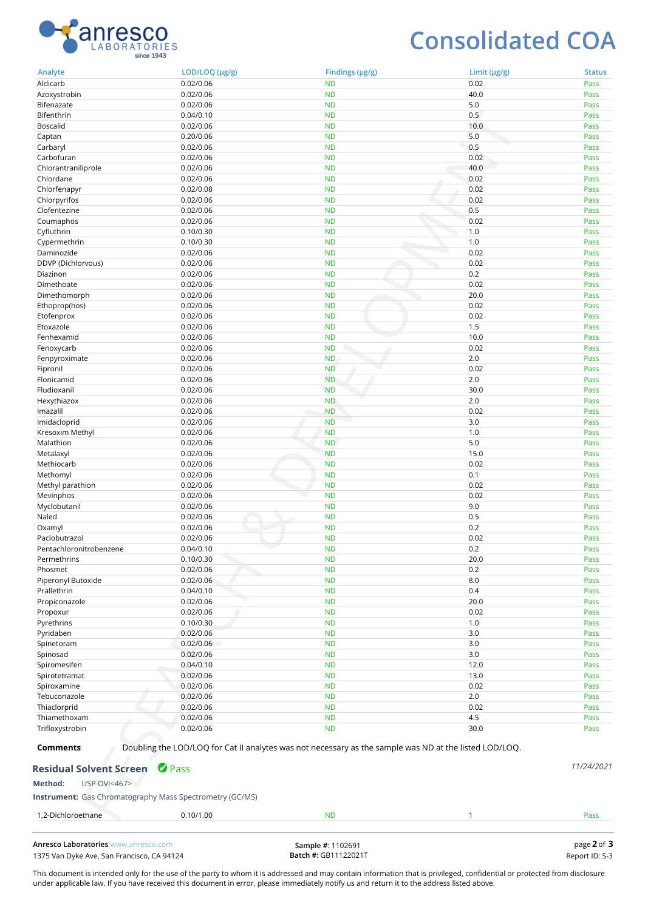

# **Consolidated COA**

| Analyte                                                         | LOD/LOQ (µg/g) | Findings (µg/g)                                                                                        | Limit (µg/g) | <b>Status</b> |
|-----------------------------------------------------------------|----------------|--------------------------------------------------------------------------------------------------------|--------------|---------------|
| Aldicarb                                                        | 0.02/0.06      | <b>ND</b>                                                                                              | 0.02         | Pass          |
| Azoxystrobin                                                    | 0.02/0.06      | <b>ND</b>                                                                                              | 40.0         | Pass          |
| Bifenazate                                                      | 0.02/0.06      | <b>ND</b>                                                                                              | 5.0          | Pass          |
| Bifenthrin                                                      | 0.04/0.10      | <b>ND</b>                                                                                              | 0.5          | Pass          |
| Boscalid                                                        | 0.02/0.06      | <b>ND</b>                                                                                              | 10.0         | Pass          |
| Captan                                                          | 0.20/0.06      | <b>ND</b>                                                                                              | 5.0          | Pass          |
| Carbaryl                                                        | 0.02/0.06      | <b>ND</b>                                                                                              | 0.5          | Pass          |
| Carbofuran                                                      | 0.02/0.06      | <b>ND</b>                                                                                              | 0.02         | Pass          |
| Chlorantraniliprole                                             | 0.02/0.06      | <b>ND</b>                                                                                              | 40.0         | Pass          |
|                                                                 |                |                                                                                                        |              |               |
| Chlordane                                                       | 0.02/0.06      | <b>ND</b>                                                                                              | 0.02         | Pass          |
| Chlorfenapyr                                                    | 0.02/0.08      | <b>ND</b>                                                                                              | 0.02         | Pass          |
| Chlorpyrifos                                                    | 0.02/0.06      | <b>ND</b>                                                                                              | 0.02         | Pass          |
| Clofentezine                                                    | 0.02/0.06      | <b>ND</b>                                                                                              | 0.5          | Pass          |
| Coumaphos                                                       | 0.02/0.06      | <b>ND</b>                                                                                              | 0.02         | Pass          |
| Cyfluthrin                                                      | 0.10/0.30      | <b>ND</b>                                                                                              | 1.0          | Pass          |
| Cypermethrin                                                    | 0.10/0.30      | <b>ND</b>                                                                                              | 1.0          | Pass          |
| Daminozide                                                      | 0.02/0.06      | <b>ND</b>                                                                                              | 0.02         | Pass          |
| DDVP (Dichlorvous)                                              | 0.02/0.06      | <b>ND</b>                                                                                              | 0.02         | Pass          |
| Diazinon                                                        | 0.02/0.06      | <b>ND</b>                                                                                              | 0.2          | Pass          |
| Dimethoate                                                      | 0.02/0.06      | <b>ND</b>                                                                                              | 0.02         | Pass          |
| Dimethomorph                                                    | 0.02/0.06      | <b>ND</b>                                                                                              | 20.0         | Pass          |
| Ethoprop(hos)                                                   | 0.02/0.06      | <b>ND</b>                                                                                              | 0.02         | Pass          |
|                                                                 |                |                                                                                                        |              |               |
| Etofenprox                                                      | 0.02/0.06      | <b>ND</b>                                                                                              | 0.02         | Pass          |
| Etoxazole                                                       | 0.02/0.06      | <b>ND</b>                                                                                              | 1.5          | Pass          |
| Fenhexamid                                                      | 0.02/0.06      | <b>ND</b>                                                                                              | 10.0         | Pass          |
| Fenoxycarb                                                      | 0.02/0.06      | <b>ND</b>                                                                                              | 0.02         | Pass          |
| Fenpyroximate                                                   | 0.02/0.06      | <b>ND</b>                                                                                              | 2.0          | Pass          |
| Fipronil                                                        | 0.02/0.06      | <b>ND</b>                                                                                              | 0.02         | Pass          |
| Flonicamid                                                      | 0.02/0.06      | <b>ND</b>                                                                                              | 2.0          | Pass          |
| Fludioxanil                                                     | 0.02/0.06      | <b>ND</b>                                                                                              | 30.0         | Pass          |
| Hexythiazox                                                     | 0.02/0.06      | <b>ND</b>                                                                                              | 2.0          | Pass          |
| Imazalil                                                        | 0.02/0.06      | <b>ND</b><br>e                                                                                         | 0.02         | Pass          |
| Imidacloprid                                                    | 0.02/0.06      | <b>ND</b>                                                                                              | 3.0          | Pass          |
| Kresoxim Methyl                                                 | 0.02/0.06      | <b>ND</b>                                                                                              | 1.0          | Pass          |
| Malathion                                                       | 0.02/0.06      | <b>ND</b>                                                                                              | 5.0          | Pass          |
|                                                                 |                |                                                                                                        | 15.0         |               |
| Metalaxyl                                                       | 0.02/0.06      | <b>ND</b>                                                                                              |              | Pass          |
| Methiocarb                                                      | 0.02/0.06      | <b>ND</b>                                                                                              | 0.02         | Pass          |
| Methomyl                                                        | 0.02/0.06      | <b>ND</b>                                                                                              | 0.1          | Pass          |
| Methyl parathion                                                | 0.02/0.06      | <b>ND</b>                                                                                              | 0.02         | Pass          |
| Mevinphos                                                       | 0.02/0.06      | <b>ND</b>                                                                                              | 0.02         | Pass          |
| Myclobutanil                                                    | 0.02/0.06      | <b>ND</b>                                                                                              | 9.0          | Pass          |
| Naled                                                           | 0.02/0.06      | <b>ND</b>                                                                                              | 0.5          | Pass          |
| Oxamyl                                                          | 0.02/0.06      | <b>ND</b>                                                                                              | 0.2          | Pass          |
| Paclobutrazol                                                   | 0.02/0.06      | <b>ND</b>                                                                                              | 0.02         | Pass          |
| Pentachloronitrobenzene                                         | 0.04/0.10      | <b>ND</b>                                                                                              | 0.2          | Pass          |
| Permethrins                                                     | 0.10/0.30      | <b>ND</b>                                                                                              | 20.0         | Pass          |
| Phosmet                                                         | 0.02/0.06<br>÷ | <b>ND</b>                                                                                              | 0.2          | Pass          |
|                                                                 |                |                                                                                                        |              |               |
| Piperonyl Butoxide                                              | 0.02/0.06      | <b>ND</b>                                                                                              | 8.0          | Pass          |
| Prallethrin                                                     | 0.04/0.10      | <b>ND</b>                                                                                              | 0.4          | Pass          |
| Propiconazole                                                   | 0.02/0.06      | <b>ND</b>                                                                                              | 20.0         | Pass          |
| Propoxur                                                        | 0.02/0.06      | <b>ND</b>                                                                                              | 0.02         | Pass          |
| Pyrethrins                                                      | 0.10/0.30      | <b>ND</b>                                                                                              | 1.0          | Pass          |
| Pyridaben                                                       | 0.02/0.06      | <b>ND</b>                                                                                              | 3.0          | Pass          |
| Spinetoram                                                      | 0.02/0.06      | <b>ND</b>                                                                                              | 3.0          | Pass          |
| Spinosad                                                        | 0.02/0.06      | <b>ND</b>                                                                                              | 3.0          | Pass          |
| Spiromesifen                                                    | 0.04/0.10      | <b>ND</b>                                                                                              | 12.0         | Pass          |
| Spirotetramat                                                   | 0.02/0.06      | <b>ND</b>                                                                                              | 13.0         | Pass          |
| Spiroxamine                                                     | 0.02/0.06      | <b>ND</b>                                                                                              | 0.02         | Pass          |
| Tebuconazole                                                    | 0.02/0.06      | <b>ND</b>                                                                                              | 2.0          | Pass          |
| Thiaclorprid                                                    | 0.02/0.06      | <b>ND</b>                                                                                              | 0.02         | Pass          |
| Thiamethoxam                                                    | 0.02/0.06      | <b>ND</b>                                                                                              | 4.5          | Pass          |
|                                                                 |                |                                                                                                        |              |               |
| Trifloxystrobin                                                 | 0.02/0.06      | <b>ND</b>                                                                                              | 30.0         | Pass          |
| <b>Comments</b>                                                 |                | Doubling the LOD/LOQ for Cat II analytes was not necessary as the sample was ND at the listed LOD/LOQ. |              | 11/24/2021    |
| <b>Residual Solvent Screen</b>                                  | <b>O</b> Pass  |                                                                                                        |              |               |
| <b>USP OVI&lt;467&gt;</b><br>Method:                            |                |                                                                                                        |              |               |
| <b>Instrument:</b> Gas Chromatography Mass Spectrometry (GC/MS) |                |                                                                                                        |              |               |
| 1,2-Dichloroethane                                              | 0.10/1.00      | <b>ND</b>                                                                                              | $\mathbf{1}$ | Pass          |

Anresco Laboratories www.anresco.com 1375 Van Dyke Ave, San Francisco, CA 94124 **Batch #: GB11122021T** Batch #: GB11122021T

Sample #: 1102691 Batch #: GB11122021T page  $2$  of  $3$ 

This document is intended only for the use of the party to whom it is addressed and may contain information that is privileged, confidential or protected from disclosure under applicable law. If you have received this document in error, please immediately notify us and return it to the address listed above.